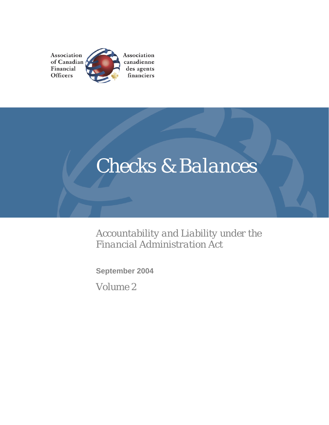

# *Checks & Balances*

*Accountability and Liability under the Financial Administration Act* 

**September 2004** 

*Volume 2*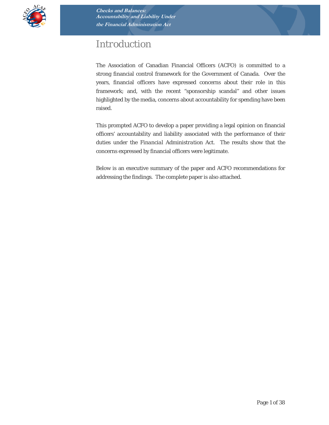

# *Introduction*

The Association of Canadian Financial Officers (ACFO) is committed to a strong financial control framework for the Government of Canada. Over the years, financial officers have expressed concerns about their role in this framework; and, with the recent "sponsorship scandal" and other issues highlighted by the media, concerns about accountability for spending have been raised.

This prompted ACFO to develop a paper providing a legal opinion on financial officers' accountability and liability associated with the performance of their duties under the *Financial Administration Act*. The results show that the concerns expressed by financial officers were legitimate.

Below is an executive summary of the paper and ACFO recommendations for addressing the findings. The complete paper is also attached.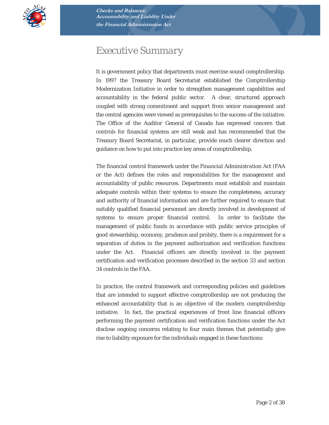

# *Executive Summary*

It is government policy that departments must exercise sound comptrollership. In 1997 the Treasury Board Secretariat established the Comptrollership Modernization Initiative in order to strengthen management capabilities and accountability in the federal public sector. A clear, structured approach coupled with strong commitment and support from senior management and the central agencies were viewed as prerequisites to the success of the initiative. The Office of the Auditor General of Canada has expressed concern that controls for financial systems are still weak and has recommended that the Treasury Board Secretariat, in particular, provide much clearer direction and guidance on how to put into practice key areas of comptrollership.

The financial control framework under the *Financial Administration Act (FAA*  or the *Act)* defines the roles and responsibilities for the management and accountability of public resources. Departments must establish and maintain adequate controls within their systems to ensure the completeness, accuracy and authority of financial information and are further required to ensure that suitably qualified financial personnel are directly involved in development of systems to ensure proper financial control. In order to facilitate the management of public funds in accordance with public service principles of good stewardship, economy, prudence and probity, there is a requirement for a separation of duties in the payment authorization and verification functions under the *Act*. Financial officers are directly involved in the payment certification and verification processes described in the section 33 and section 34 controls in the *FAA.*

In practice, the control framework and corresponding policies and guidelines that are intended to support effective comptrollership are not producing the enhanced accountability that is an objective of the modern comptrollership initiative. In fact, the practical experiences of front line financial officers performing the payment certification and verification functions under the *Act* disclose ongoing concerns relating to four main themes that potentially give rise to liability exposure for the individuals engaged in these functions: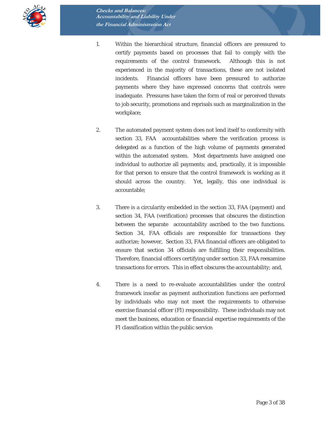

- 1. Within the hierarchical structure, financial officers are pressured to certify payments based on processes that fail to comply with the requirements of the control framework. Although this is not experienced in the majority of transactions, these are not isolated incidents. Financial officers have been pressured to authorize payments where they have expressed concerns that controls were inadequate. Pressures have taken the form of real or perceived threats to job security, promotions and reprisals such as marginalization in the workplace;
- 2. The automated payment system does not lend itself to conformity with section 33, FAA accountabilities where the verification process is delegated as a function of the high volume of payments generated within the automated system. Most departments have assigned one individual to authorize all payments; and, practically, it is impossible for that person to ensure that the control framework is working as it should across the country. Yet, legally, this one individual is accountable;
- 3. There is a circularity embedded in the section 33, *FAA* (payment) and section 34, *FAA* (verification) processes that obscures the distinction between the separate accountability ascribed to the two functions. Section 34, *FAA* officials are responsible for transactions they authorize; however, Section 33, *FAA* financial officers are obligated to ensure that section 34 officials are fulfilling their responsibilities. Therefore, financial officers certifying under section 33, FAA reexamine transactions for errors. This in effect obscures the accountability; and,
- 4. There is a need to re-evaluate accountabilities under the control framework insofar as payment authorization functions are performed by individuals who may not meet the requirements to otherwise exercise financial officer (FI) responsibility. These individuals may not meet the business, education or financial expertise requirements of the FI classification within the public service.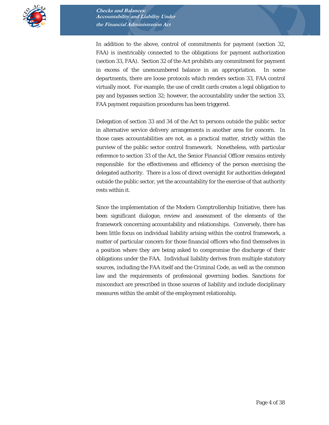

In addition to the above, control of commitments for payment (section 32, *FAA*) is inextricably connected to the obligations for payment authorization (section 33, *FAA*). Section 32 of the *Act* prohibits any commitment for payment in excess of the unencumbered balance in an appropriation. In some departments, there are loose protocols which renders section 33, *FAA* control virtually moot. For example, the use of credit cards creates a legal obligation to pay and bypasses section 32; however, the accountability under the section 33, *FAA* payment requisition procedures has been triggered.

Delegation of section 33 and 34 of the *Act* to persons outside the public sector in alternative service delivery arrangements is another area for concern. In those cases accountabilities are not, as a practical matter, strictly within the purview of the public sector control framework. Nonetheless, with particular reference to section 33 of the *Act*, the Senior Financial Officer remains entirely responsible for the effectiveness and efficiency of the person exercising the delegated authority. There is a loss of direct oversight for authorities delegated outside the public sector, yet the accountability for the exercise of that authority rests within it.

Since the implementation of the Modern Comptrollership Initiative, there has been significant dialogue, review and assessment of the elements of the framework concerning accountability and relationships. Conversely, there has been little focus on individual liability arising within the control framework, a matter of particular concern for those financial officers who find themselves in a position where they are being asked to compromise the discharge of their obligations under the *FAA.* Individual liability derives from multiple statutory sources, including the *FAA* itself and the *Criminal Code*, as well as the common law and the requirements of professional governing bodies. Sanctions for misconduct are prescribed in those sources of liability and include disciplinary measures within the ambit of the employment relationship.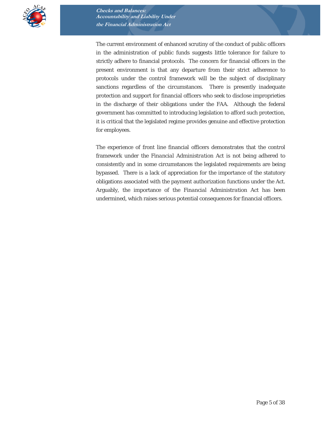

The current environment of enhanced scrutiny of the conduct of public officers in the administration of public funds suggests little tolerance for failure to strictly adhere to financial protocols. The concern for financial officers in the present environment is that any departure from their strict adherence to protocols under the control framework will be the subject of disciplinary sanctions regardless of the circumstances. There is presently inadequate protection and support for financial officers who seek to disclose improprieties in the discharge of their obligations under the *FAA*. Although the federal government has committed to introducing legislation to afford such protection, it is critical that the legislated regime provides genuine and effective protection for employees.

The experience of front line financial officers demonstrates that the control framework under the *Financial Administration Act* is not being adhered to consistently and in some circumstances the legislated requirements are being bypassed*.* There is a lack of appreciation for the importance of the statutory obligations associated with the payment authorization functions under the *Act*. Arguably, the importance of the *Financial Administration Act* has been undermined, which raises serious potential consequences for financial officers.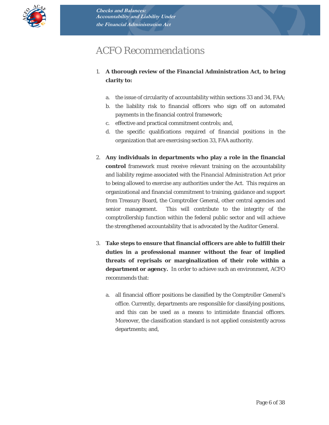

# *ACFO Recommendations*

- 1. **A thorough review of the** *Financial Administration Act***, to bring clarity to:** 
	- a. the issue of circularity of accountability within sections 33 and 34, *FAA*;
	- b. the liability risk to financial officers who sign off on automated payments in the financial control framework;
	- c. effective and practical commitment controls; and,
	- d. the specific qualifications required of financial positions in the organization that are exercising section 33, *FAA* authority.
- 2. **Any individuals in departments who play a role in the financial control** framework must receive relevant training on the accountability and liability regime associated with the *Financial Administration Act* prior to being allowed to exercise any authorities under the *Act*. This requires an organizational and financial commitment to training, guidance and support from Treasury Board, the Comptroller General, other central agencies and senior management. This will contribute to the integrity of the comptrollership function within the federal public sector and will achieve the strengthened accountability that is advocated by the Auditor General.
- 3. **Take steps to ensure that financial officers are able to fulfill their duties in a professional manner without the fear of implied threats of reprisals or marginalization of their role within a department or agency.** In order to achieve such an environment, ACFO recommends that:
	- a. all financial officer positions be classified by the Comptroller General's office. Currently, departments are responsible for classifying positions, and this can be used as a means to intimidate financial officers. Moreover, the classification standard is not applied consistently across departments; and,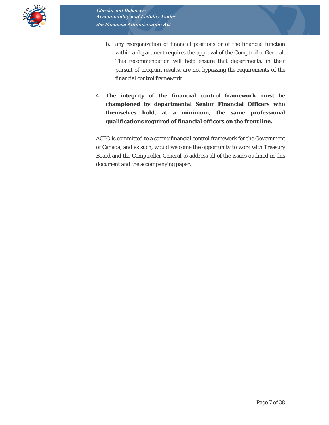

- b. any reorganization of financial positions or of the financial function within a department requires the approval of the Comptroller General. This recommendation will help ensure that departments, in their pursuit of program results, are not bypassing the requirements of the financial control framework.
- 4. **The integrity of the financial control framework must be championed by departmental Senior Financial Officers who themselves hold, at a minimum, the same professional qualifications required of financial officers on the front line.**

ACFO is committed to a strong financial control framework for the Government of Canada, and as such, would welcome the opportunity to work with Treasury Board and the Comptroller General to address all of the issues outlined in this document and the accompanying paper.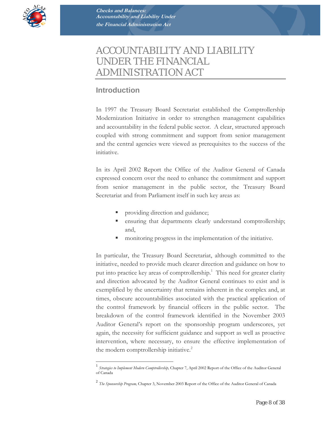

# *ACCOUNTABILITY AND LIABILITY UNDER THE FINANCIAL ADMINISTRATION ACT*

# **Introduction**

 $\overline{a}$ 

In 1997 the Treasury Board Secretariat established the Comptrollership Modernization Initiative in order to strengthen management capabilities and accountability in the federal public sector. A clear, structured approach coupled with strong commitment and support from senior management and the central agencies were viewed as prerequisites to the success of the initiative.

In its April 2002 Report the Office of the Auditor General of Canada expressed concern over the need to enhance the commitment and support from senior management in the public sector, the Treasury Board Secretariat and from Parliament itself in such key areas as:

- providing direction and guidance;
- ensuring that departments clearly understand comptrollership; and,
- monitoring progress in the implementation of the initiative.

In particular, the Treasury Board Secretariat, although committed to the initiative, needed to provide much clearer direction and guidance on how to put into practice key areas of comptrollership.<sup>1</sup> This need for greater clarity and direction advocated by the Auditor General continues to exist and is exemplified by the uncertainty that remains inherent in the complex and, at times, obscure accountabilities associated with the practical application of the control framework by financial officers in the public sector. The breakdown of the control framework identified in the November 2003 Auditor General's report on the sponsorship program underscores, yet again, the necessity for sufficient guidance and support as well as proactive intervention, where necessary, to ensure the effective implementation of the modern comptrollership initiative.<sup>2</sup>

<sup>1</sup> *Strategies to Implement Modern Comptrollership,* Chapter 7, April 2002 Report of the Office of the Auditor General of Canada

<sup>2</sup> *The Sponsorship Program,* Chapter 3, November 2003 Report of the Office of the Auditor General of Canada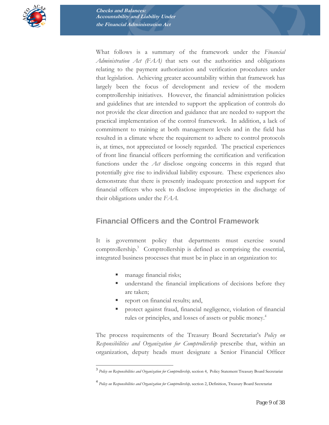

What follows is a summary of the framework under the *Financial Administration Act (FAA)* that sets out the authorities and obligations relating to the payment authorization and verification procedures under that legislation. Achieving greater accountability within that framework has largely been the focus of development and review of the modern comptrollership initiatives. However, the financial administration policies and guidelines that are intended to support the application of controls do not provide the clear direction and guidance that are needed to support the practical implementation of the control framework. In addition, a lack of commitment to training at both management levels and in the field has resulted in a climate where the requirement to adhere to control protocols is, at times, not appreciated or loosely regarded. The practical experiences of front line financial officers performing the certification and verification functions under the *Act* disclose ongoing concerns in this regard that potentially give rise to individual liability exposure*.* These experiences also demonstrate that there is presently inadequate protection and support for financial officers who seek to disclose improprieties in the discharge of their obligations under the *FAA*.

## **Financial Officers and the Control Framework**

It is government policy that departments must exercise sound comptrollership.<sup>3</sup> Comptrollership is defined as comprising the essential, integrated business processes that must be in place in an organization to:

manage financial risks;

 $\overline{a}$ 

- understand the financial implications of decisions before they are taken;
- report on financial results; and,
- protect against fraud, financial negligence, violation of financial rules or principles, and losses of assets or public money.<sup>4</sup>

The process requirements of the Treasury Board Secretariat's *Policy on Responsibilities and Organization for Comptrollership* prescribe that, within an organization, deputy heads must designate a Senior Financial Officer

<sup>3</sup> *Policy on Responsibilities and Organization for Comptrollership,* section 4, Policy Statement Treasury Board Secretariat

<sup>4</sup> *Policy on Responsibilities and Organization for Comptrollership,* section 2, Definition, Treasury Board Secretariat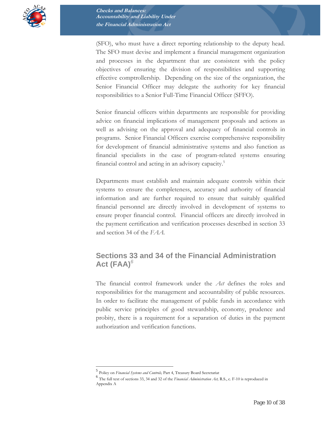

(SFO), who must have a direct reporting relationship to the deputy head. The SFO must devise and implement a financial management organization and processes in the department that are consistent with the policy objectives of ensuring the division of responsibilities and supporting effective comptrollership. Depending on the size of the organization, the Senior Financial Officer may delegate the authority for key financial responsibilities to a Senior Full-Time Financial Officer (SFFO).

Senior financial officers within departments are responsible for providing advice on financial implications of management proposals and actions as well as advising on the approval and adequacy of financial controls in programs. Senior Financial Officers exercise comprehensive responsibility for development of financial administrative systems and also function as financial specialists in the case of program-related systems ensuring financial control and acting in an advisory capacity.<sup>5</sup>

Departments must establish and maintain adequate controls within their systems to ensure the completeness, accuracy and authority of financial information and are further required to ensure that suitably qualified financial personnel are directly involved in development of systems to ensure proper financial control. Financial officers are directly involved in the payment certification and verification processes described in section 33 and section 34 of the *FAA.*

## **Sections 33 and 34 of the Financial Administration Act (FAA)***<sup>6</sup>*

The financial control framework under the *Act* defines the roles and responsibilities for the management and accountability of public resources. In order to facilitate the management of public funds in accordance with public service principles of good stewardship, economy, prudence and probity, there is a requirement for a separation of duties in the payment authorization and verification functions.

 $\overline{a}$ 

<sup>5</sup> Policy on *Financial Systems and Controls,* Part 4, Treasury Board Secretariat <sup>6</sup> The full text of sections 33, 34 and 32 of the *Financial Administration Act,* R.S., c. F-10 is reproduced in Appendix A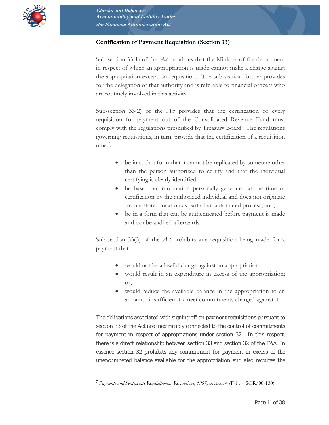

#### **Certification of Payment Requisition (Section 33)**

Sub-section 33(1) of the *Act* mandates that the Minister of the department in respect of which an appropriation is made cannot make a charge against the appropriation except on requisition. The sub-section further provides for the delegation of that authority and is referable to financial officers who are routinely involved in this activity.

Sub-section 33(2) of the *Act* provides that the certification of every requisition for payment out of the Consolidated Revenue Fund must comply with the regulations prescribed by Treasury Board. The regulations governing requisitions, in turn, provide that the certification of a requisition  $must^7$ :

- be in such a form that it cannot be replicated by someone other than the person authorized to certify and that the individual certifying is clearly identified;
- be based on information personally generated at the time of certification by the authorized individual and does not originate from a stored location as part of an automated process; and,
- be in a form that can be authenticated before payment is made and can be audited afterwards.

Sub-section 33(3) of the *Act* prohibits any requisition being made for a payment that:

- would not be a lawful charge against an appropriation;
- would result in an expenditure in excess of the appropriation; or,
- would reduce the available balance in the appropriation to an amount insufficient to meet commitments charged against it.

The obligations associated with signing off on payment requisitions pursuant to section 33 of the Act are inextricably connected to the control of commitments for payment in respect of appropriations under section 32. In this respect, there is a direct relationship between section 33 and section 32 of the FAA. In essence section 32 prohibits any commitment for payment in excess of the unencumbered balance available for the appropriation and also requires the

 $\overline{a}$ <sup>7</sup> *Payments and Settlements Requisitioning Regulations, 1997,* section 4 (F-11 – SOR/98-130)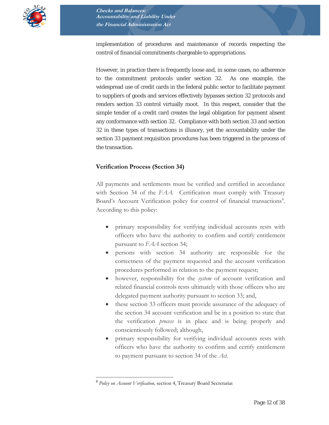

implementation of procedures and maintenance of records respecting the control of financial commitments chargeable to appropriations.

However, in practice there is frequently loose and, in some cases, no adherence to the commitment protocols under section 32. As one example, the widespread use of credit cards in the federal public sector to facilitate payment to suppliers of goods and services effectively bypasses section 32 protocols and renders section 33 control virtually moot. In this respect, consider that the simple tender of a credit card creates the legal obligation for payment absent any conformance with section 32. Compliance with both section 33 and section 32 in these types of transactions is illusory, yet the accountability under the section 33 payment requisition procedures has been triggered in the process of the transaction.

#### **Verification Process (Section 34)**

All payments and settlements must be verified and certified in accordance with Section 34 of the *FAA*. Certification must comply with Treasury Board's Account Verification policy for control of financial transactions8. According to this policy:

- primary responsibility for verifying individual accounts rests with officers who have the authority to confirm and certify entitlement pursuant to *FAA* section 34;
- persons with section 34 authority are responsible for the correctness of the payment requested and the account verification procedures performed in relation to the payment request;
- however, responsibility for the *system* of account verification and related financial controls rests ultimately with those officers who are delegated payment authority pursuant to section 33; and,
- these section 33 officers must provide assurance of the adequacy of the section 34 account verification and be in a position to state that the verification *process* is in place and is being properly and conscientiously followed; although,
- primary responsibility for verifying individual accounts rests with officers who have the authority to confirm and certify entitlement to payment pursuant to section 34 of the *Act.*

 $\overline{a}$ 

<sup>8</sup> *Policy on Account Verification,* section 4, Treasury Board Secretariat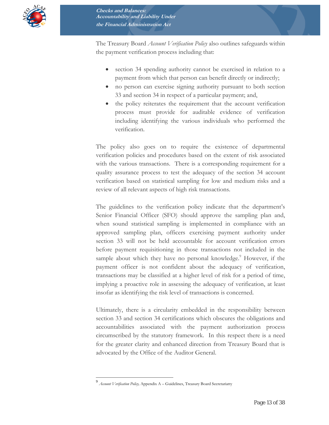

The Treasury Board *Account Verification Policy* also outlines safeguards within the payment verification process including that:

- section 34 spending authority cannot be exercised in relation to a payment from which that person can benefit directly or indirectly;
- no person can exercise signing authority pursuant to both section 33 and section 34 in respect of a particular payment; and,
- the policy reiterates the requirement that the account verification process must provide for auditable evidence of verification including identifying the various individuals who performed the verification.

The policy also goes on to require the existence of departmental verification policies and procedures based on the extent of risk associated with the various transactions. There is a corresponding requirement for a quality assurance process to test the adequacy of the section 34 account verification based on statistical sampling for low and medium risks and a review of all relevant aspects of high risk transactions.

The guidelines to the verification policy indicate that the department's Senior Financial Officer (SFO) should approve the sampling plan and, when sound statistical sampling is implemented in compliance with an approved sampling plan, officers exercising payment authority under section 33 will not be held accountable for account verification errors before payment requisitioning in those transactions not included in the sample about which they have no personal knowledge.<sup>9</sup> However, if the payment officer is not confident about the adequacy of verification, transactions may be classified at a higher level of risk for a period of time, implying a proactive role in assessing the adequacy of verification, at least insofar as identifying the risk level of transactions is concerned.

Ultimately, there is a circularity embedded in the responsibility between section 33 and section 34 certifications which obscures the obligations and accountabilities associated with the payment authorization process circumscribed by the statutory framework. In this respect there is a need for the greater clarity and enhanced direction from Treasury Board that is advocated by the Office of the Auditor General.

 $\overline{a}$ 

<sup>9</sup> *Account Verification Policy,* Appendix A – Guidelines, Treasury Board Secretariatty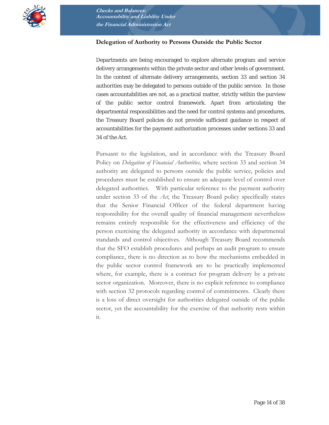

#### **Delegation of Authority to Persons Outside the Public Sector**

Departments are being encouraged to explore alternate program and service delivery arrangements within the private sector and other levels of government. In the context of alternate delivery arrangements, section 33 and section 34 authorities may be delegated to persons outside of the public service. In those cases accountabilities are not, as a practical matter, strictly within the purview of the public sector control framework. Apart from articulating the departmental responsibilities and the need for control systems and procedures, the Treasury Board policies do not provide sufficient guidance in respect of accountabilities for the payment authorization processes under sections 33 and 34 of the Act.

Pursuant to the legislation, and in accordance with the Treasury Board Policy on *Delegation of Financial Authorities,* where section 33 and section 34 authority are delegated to persons outside the public service, policies and procedures must be established to ensure an adequate level of control over delegated authorities. With particular reference to the payment authority under section 33 of the *Act*, the Treasury Board policy specifically states that the Senior Financial Officer of the federal department having responsibility for the overall quality of financial management nevertheless remains entirely responsible for the effectiveness and efficiency of the person exercising the delegated authority in accordance with departmental standards and control objectives. Although Treasury Board recommends that the SFO establish procedures and perhaps an audit program to ensure compliance, there is no direction as to how the mechanisms embedded in the public sector control framework are to be practically implemented where, for example, there is a contract for program delivery by a private sector organization. Moreover, there is no explicit reference to compliance with section 32 protocols regarding control of commitments. Clearly there is a loss of direct oversight for authorities delegated outside of the public sector, yet the accountability for the exercise of that authority rests within it.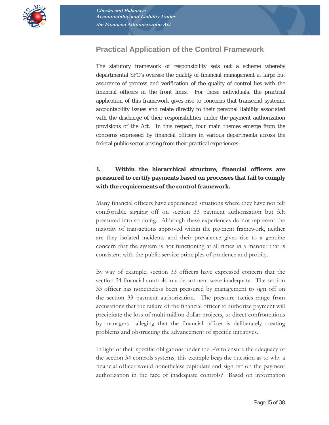

# **Practical Application of the Control Framework**

The statutory framework of responsibility sets out a scheme whereby departmental SFO's oversee the quality of financial management at large but assurance of process and verification of the quality of control lies with the financial officers in the front lines. For those individuals, the practical application of this framework gives rise to concerns that transcend systemic accountability issues and relate directly to their personal liability associated with the discharge of their responsibilities under the payment authorization provisions of the *Act.* In this respect, four main themes emerge from the concerns expressed by financial officers in various departments across the federal public sector arising from their practical experiences:

#### **1. Within the hierarchical structure, financial officers are pressured to certify payments based on processes that fail to comply with the requirements of the control framework.**

Many financial officers have experienced situations where they have not felt comfortable signing off on section 33 payment authorization but felt pressured into so doing. Although these experiences do not represent the majority of transactions approved within the payment framework, neither are they isolated incidents and their prevalence gives rise to a genuine concern that the system is not functioning at all times in a manner that is consistent with the public service principles of prudence and probity.

By way of example, section 33 officers have expressed concern that the section 34 financial controls in a department were inadequate. The section 33 officer has nonetheless been pressured by management to sign off on the section 33 payment authorization. The pressure tactics range from accusations that the failure of the financial officer to authorize payment will precipitate the loss of multi-million dollar projects, to direct confrontations by managers alleging that the financial officer is deliberately creating problems and obstructing the advancement of specific initiatives.

In light of their specific obligations under the *Act* to ensure the adequacy of the section 34 controls systems*,* this example begs the question as to why a financial officer would nonetheless capitulate and sign off on the payment authorization in the face of inadequate controls? Based on information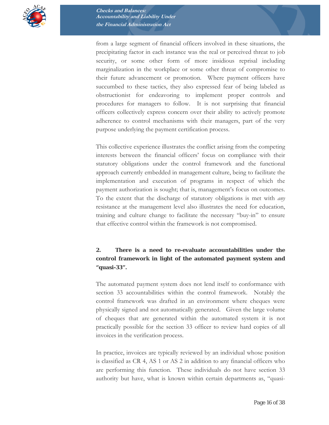

from a large segment of financial officers involved in these situations, the precipitating factor in each instance was the real or perceived threat to job security, or some other form of more insidious reprisal including marginalization in the workplace or some other threat of compromise to their future advancement or promotion. Where payment officers have succumbed to these tactics, they also expressed fear of being labeled as obstructionist for endeavoring to implement proper controls and procedures for managers to follow. It is not surprising that financial officers collectively express concern over their ability to actively promote adherence to control mechanisms with their managers, part of the very purpose underlying the payment certification process.

This collective experience illustrates the conflict arising from the competing interests between the financial officers' focus on compliance with their statutory obligations under the control framework and the functional approach currently embedded in management culture, being to facilitate the implementation and execution of programs in respect of which the payment authorization is sought; that is, management's focus on outcomes. To the extent that the discharge of statutory obligations is met with *any* resistance at the management level also illustrates the need for education, training and culture change to facilitate the necessary "buy-in" to ensure that effective control within the framework is not compromised.

#### **2. There is a need to re-evaluate accountabilities under the control framework in light of the automated payment system and "quasi-33".**

The automated payment system does not lend itself to conformance with section 33 accountabilities within the control framework. Notably the control framework was drafted in an environment where cheques were physically signed and not automatically generated. Given the large volume of cheques that are generated within the automated system it is not practically possible for the section 33 officer to review hard copies of all invoices in the verification process.

In practice, invoices are typically reviewed by an individual whose position is classified as CR 4, AS 1 or AS 2 in addition to any financial officers who are performing this function. These individuals do not have section 33 authority but have, what is known within certain departments as, "quasi-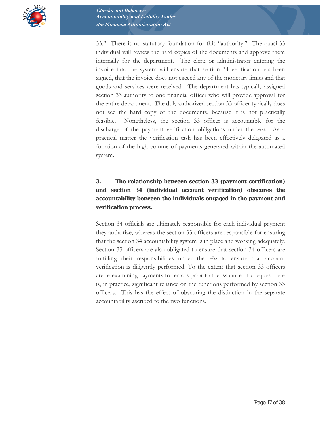

33." There is no statutory foundation for this "authority." The quasi-33 individual will review the hard copies of the documents and approve them internally for the department. The clerk or administrator entering the invoice into the system will ensure that section 34 verification has been signed, that the invoice does not exceed any of the monetary limits and that goods and services were received. The department has typically assigned section 33 authority to one financial officer who will provide approval for the entire department. The duly authorized section 33 officer typically does not see the hard copy of the documents, because it is not practically feasible. Nonetheless, the section 33 officer is accountable for the discharge of the payment verification obligations under the *Act*. As a practical matter the verification task has been effectively delegated as a function of the high volume of payments generated within the automated system.

#### **3. The relationship between section 33 (payment certification) and section 34 (individual account verification) obscures the accountability between the individuals engaged in the payment and verification process.**

Section 34 officials are ultimately responsible for each individual payment they authorize, whereas the section 33 officers are responsible for ensuring that the section 34 accountability system is in place and working adequately. Section 33 officers are also obligated to ensure that section 34 officers are fulfilling their responsibilities under the *Act* to ensure that account verification is diligently performed. To the extent that section 33 officers are re-examining payments for errors prior to the issuance of cheques there is, in practice, significant reliance on the functions performed by section 33 officers. This has the effect of obscuring the distinction in the separate accountability ascribed to the two functions.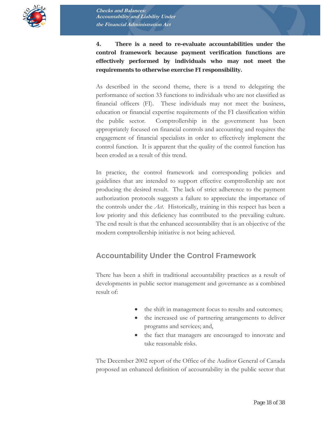

**4. There is a need to re-evaluate accountabilities under the control framework because payment verification functions are effectively performed by individuals who may not meet the requirements to otherwise exercise FI responsibility.** 

As described in the second theme, there is a trend to delegating the performance of section 33 functions to individuals who are not classified as financial officers (FI). These individuals may not meet the business, education or financial expertise requirements of the FI classification within the public sector. Comptrollership in the government has been appropriately focused on financial controls and accounting and requires the engagement of financial specialists in order to effectively implement the control function. It is apparent that the quality of the control function has been eroded as a result of this trend.

In practice, the control framework and corresponding policies and guidelines that are intended to support effective comptrollership are not producing the desired result. The lack of strict adherence to the payment authorization protocols suggests a failure to appreciate the importance of the controls under the *Act*. Historically, training in this respect has been a low priority and this deficiency has contributed to the prevailing culture. The end result is that the enhanced accountability that is an objective of the modern comptrollership initiative is not being achieved.

## **Accountability Under the Control Framework**

There has been a shift in traditional accountability practices as a result of developments in public sector management and governance as a combined result of:

- the shift in management focus to results and outcomes;
- the increased use of partnering arrangements to deliver programs and services; and,
- the fact that managers are encouraged to innovate and take reasonable risks.

The December 2002 report of the Office of the Auditor General of Canada proposed an enhanced definition of accountability in the public sector that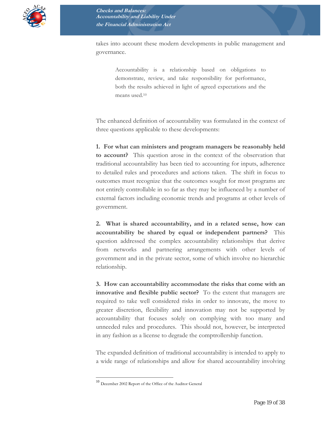

takes into account these modern developments in public management and governance.

> Accountability is a relationship based on obligations to demonstrate, review, and take responsibility for performance, both the results achieved in light of agreed expectations and the means used.10

The enhanced definition of accountability was formulated in the context of three questions applicable to these developments:

**1. For what can ministers and program managers be reasonably held to account?** This question arose in the context of the observation that traditional accountability has been tied to accounting for inputs, adherence to detailed rules and procedures and actions taken. The shift in focus to outcomes must recognize that the outcomes sought for most programs are not entirely controllable in so far as they may be influenced by a number of external factors including economic trends and programs at other levels of government.

**2. What is shared accountability, and in a related sense, how can accountability be shared by equal or independent partners?** This question addressed the complex accountability relationships that derive from networks and partnering arrangements with other levels of government and in the private sector, some of which involve no hierarchic relationship.

**3. How can accountability accommodate the risks that come with an innovative and flexible public sector?** To the extent that managers are required to take well considered risks in order to innovate, the move to greater discretion, flexibility and innovation may not be supported by accountability that focuses solely on complying with too many and unneeded rules and procedures. This should not, however, be interpreted in any fashion as a license to degrade the comptrollership function.

The expanded definition of traditional accountability is intended to apply to a wide range of relationships and allow for shared accountability involving

 $\overline{a}$ 

<sup>10</sup> December 2002 Report of the Office of the Auditor General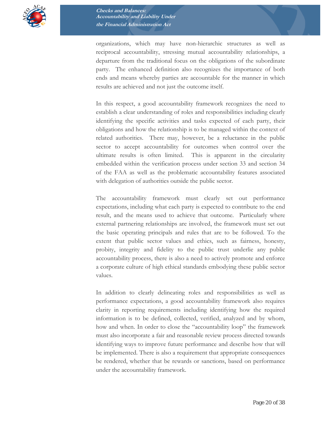

organizations, which may have non-hierarchic structures as well as reciprocal accountability, stressing mutual accountability relationships, a departure from the traditional focus on the obligations of the subordinate party. The enhanced definition also recognizes the importance of both ends and means whereby parties are accountable for the manner in which results are achieved and not just the outcome itself.

In this respect, a good accountability framework recognizes the need to establish a clear understanding of roles and responsibilities including clearly identifying the specific activities and tasks expected of each party, their obligations and how the relationship is to be managed within the context of related authorities. There may, however, be a reluctance in the public sector to accept accountability for outcomes when control over the ultimate results is often limited. This is apparent in the circularity embedded within the verification process under section 33 and section 34 of the FAA as well as the problematic accountability features associated with delegation of authorities outside the public sector.

The accountability framework must clearly set out performance expectations, including what each party is expected to contribute to the end result, and the means used to achieve that outcome. Particularly where external partnering relationships are involved, the framework must set out the basic operating principals and rules that are to be followed. To the extent that public sector values and ethics, such as fairness, honesty, probity, integrity and fidelity to the public trust underlie any public accountability process, there is also a need to actively promote and enforce a corporate culture of high ethical standards embodying these public sector values.

In addition to clearly delineating roles and responsibilities as well as performance expectations, a good accountability framework also requires clarity in reporting requirements including identifying how the required information is to be defined, collected, verified, analyzed and by whom, how and when. In order to close the "accountability loop" the framework must also incorporate a fair and reasonable review process directed towards identifying ways to improve future performance and describe how that will be implemented. There is also a requirement that appropriate consequences be rendered, whether that be rewards or sanctions, based on performance under the accountability framework.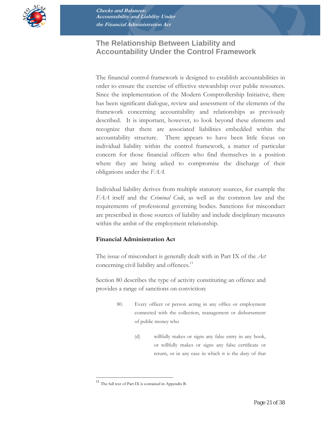

# **The Relationship Between Liability and Accountability Under the Control Framework**

The financial control framework is designed to establish accountabilities in order to ensure the exercise of effective stewardship over public resources. Since the implementation of the Modern Comptrollership Initiative, there has been significant dialogue, review and assessment of the elements of the framework concerning accountability and relationships as previously described. It is important, however, to look beyond these elements and recognize that there are associated liabilities embedded within the accountability structure. There appears to have been little focus on individual liability within the control framework, a matter of particular concern for those financial officers who find themselves in a position where they are being asked to compromise the discharge of their obligations under the *FAA.* 

Individual liability derives from multiple statutory sources, for example the *FAA* itself and the *Criminal Code*, as well as the common law and the requirements of professional governing bodies. Sanctions for misconduct are prescribed in those sources of liability and include disciplinary measures within the ambit of the employment relationship.

#### **Financial Administration Act**

The issue of misconduct is generally dealt with in Part IX of the *Act* concerning civil liability and offences.<sup>11</sup>

Section 80 describes the type of activity constituting an offence and provides a range of sanctions on conviction:

- 80. Every officer or person acting in any office or employment connected with the collection, management or disbursement of public money who
	- (d) willfully makes or signs any false entry in any book, or willfully makes or signs any false certificate or return, or in any case in which it is the duty of that

 $\overline{a}$ 

<sup>11</sup> The full text of Part IX is contained in Appendix B.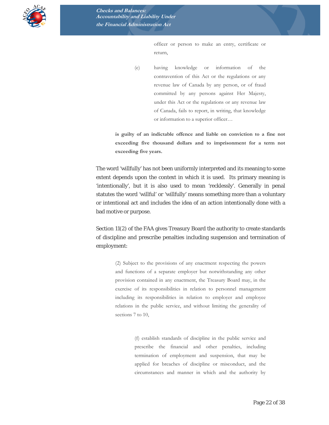

officer or person to make an entry, certificate or return,

(e) having knowledge or information of the contravention of this Act or the regulations or any revenue law of Canada by any person, or of fraud committed by any persons against Her Majesty, under this Act or the regulations or any revenue law of Canada, fails to report, in writing, that knowledge or information to a superior officer…

**is guilty of an indictable offence and liable on conviction to a fine not exceeding five thousand dollars and to imprisonment for a term not exceeding five years.** 

The word 'willfully' has not been uniformly interpreted and its meaning to some extent depends upon the context in which it is used. Its primary meaning is 'intentionally', but it is also used to mean 'recklessly'. Generally in penal statutes the word 'willful' or 'willfully' means something more than a voluntary or intentional act and includes the idea of an action intentionally done with a bad motive or purpose.

Section 11(2) of the *FAA* gives Treasury Board the authority to create standards of discipline and prescribe penalties including suspension and termination of employment:

> (2) Subject to the provisions of any enactment respecting the powers and functions of a separate employer but notwithstanding any other provision contained in any enactment, the Treasury Board may, in the exercise of its responsibilities in relation to personnel management including its responsibilities in relation to employer and employee relations in the public service, and without limiting the generality of sections 7 to 10.

> > (f) establish standards of discipline in the public service and prescribe the financial and other penalties, including termination of employment and suspension, that may be applied for breaches of discipline or misconduct, and the circumstances and manner in which and the authority by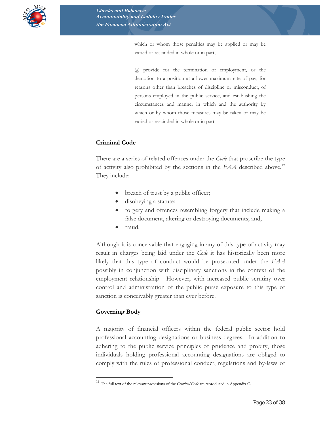

which or whom those penalties may be applied or may be varied or rescinded in whole or in part;

(*g*) provide for the termination of employment, or the demotion to a position at a lower maximum rate of pay, for reasons other than breaches of discipline or misconduct, of persons employed in the public service, and establishing the circumstances and manner in which and the authority by which or by whom those measures may be taken or may be varied or rescinded in whole or in part.

#### **Criminal Code**

There are a series of related offences under the *Code* that proscribe the type of activity also prohibited by the sections in the *FAA* described above.12 They include:

- breach of trust by a public officer;
- disobeying a statute;
- forgery and offences resembling forgery that include making a false document, altering or destroying documents; and,
- fraud.

Although it is conceivable that engaging in any of this type of activity may result in charges being laid under the *Code* it has historically been more likely that this type of conduct would be prosecuted under the *FAA* possibly in conjunction with disciplinary sanctions in the context of the employment relationship. However, with increased public scrutiny over control and administration of the public purse exposure to this type of sanction is conceivably greater than ever before.

#### **Governing Body**

 $\overline{a}$ 

A majority of financial officers within the federal public sector hold professional accounting designations or business degrees. In addition to adhering to the public service principles of prudence and probity, those individuals holding professional accounting designations are obliged to comply with the rules of professional conduct, regulations and by-laws of

<sup>12</sup> The full text of the relevant provisions of the *Criminal Code* are reproduced in Appendix C.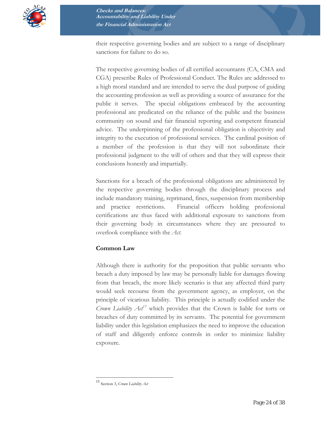

their respective governing bodies and are subject to a range of disciplinary sanctions for failure to do so.

The respective governing bodies of all certified accountants (CA, CMA and CGA) prescribe Rules of Professional Conduct. The Rules are addressed to a high moral standard and are intended to serve the dual purpose of guiding the accounting profession as well as providing a source of assurance for the public it serves. The special obligations embraced by the accounting professional are predicated on the reliance of the public and the business community on sound and fair financial reporting and competent financial advice. The underpinning of the professional obligation is objectivity and integrity to the execution of professional services. The cardinal position of a member of the profession is that they will not subordinate their professional judgment to the will of others and that they will express their conclusions honestly and impartially.

Sanctions for a breach of the professional obligations are administered by the respective governing bodies through the disciplinary process and include mandatory training, reprimand, fines, suspension from membership and practice restrictions. Financial officers holding professional certifications are thus faced with additional exposure to sanctions from their governing body in circumstances where they are pressured to overlook compliance with the *Act*.

#### **Common Law**

Although there is authority for the proposition that public servants who breach a duty imposed by law may be personally liable for damages flowing from that breach, the more likely scenario is that any affected third party would seek recourse from the government agency, as employer, on the principle of vicarious liability. This principle is actually codified under the *Crown Liability Act13* which provides that the Crown is liable for torts or breaches of duty committed by its servants. The potential for government liability under this legislation emphasizes the need to improve the education of staff and diligently enforce controls in order to minimize liability exposure.

 $\overline{a}$ 

<sup>13</sup> Section 3, *Crown Liability Act*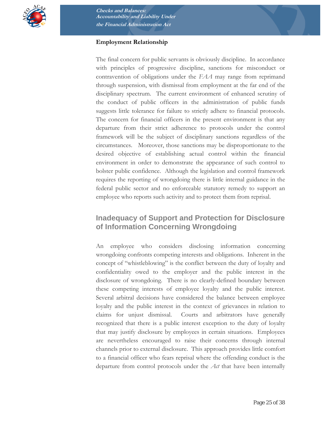

#### **Employment Relationship**

The final concern for public servants is obviously discipline. In accordance with principles of progressive discipline, sanctions for misconduct or contravention of obligations under the *FAA* may range from reprimand through suspension, with dismissal from employment at the far end of the disciplinary spectrum. The current environment of enhanced scrutiny of the conduct of public officers in the administration of public funds suggests little tolerance for failure to strictly adhere to financial protocols. The concern for financial officers in the present environment is that any departure from their strict adherence to protocols under the control framework will be the subject of disciplinary sanctions regardless of the circumstances. Moreover, those sanctions may be disproportionate to the desired objective of establishing actual control within the financial environment in order to demonstrate the appearance of such control to bolster public confidence. Although the legislation and control framework requires the reporting of wrongdoing there is little internal guidance in the federal public sector and no enforceable statutory remedy to support an employee who reports such activity and to protect them from reprisal.

# **Inadequacy of Support and Protection for Disclosure of Information Concerning Wrongdoing**

An employee who considers disclosing information concerning wrongdoing confronts competing interests and obligations. Inherent in the concept of "whistleblowing" is the conflict between the duty of loyalty and confidentiality owed to the employer and the public interest in the disclosure of wrongdoing. There is no clearly-defined boundary between these competing interests of employee loyalty and the public interest. Several arbitral decisions have considered the balance between employee loyalty and the public interest in the context of grievances in relation to claims for unjust dismissal. Courts and arbitrators have generally recognized that there is a public interest exception to the duty of loyalty that may justify disclosure by employees in certain situations. Employees are nevertheless encouraged to raise their concerns through internal channels prior to external disclosure. This approach provides little comfort to a financial officer who fears reprisal where the offending conduct is the departure from control protocols under the *Act* that have been internally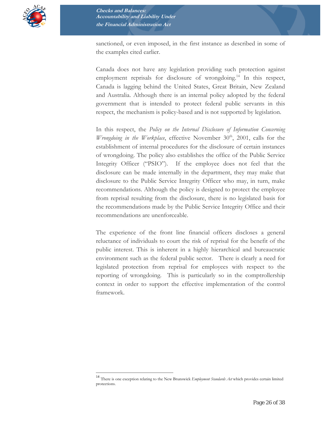

sanctioned, or even imposed, in the first instance as described in some of the examples cited earlier.

Canada does not have any legislation providing such protection against employment reprisals for disclosure of wrongdoing.<sup>14</sup> In this respect, Canada is lagging behind the United States, Great Britain, New Zealand and Australia. Although there is an internal policy adopted by the federal government that is intended to protect federal public servants in this respect, the mechanism is policy-based and is not supported by legislation.

In this respect, the *Policy on the Internal Disclosure of Information Concerning Wrongdoing in the Workplace*, effective November 30<sup>th</sup>, 2001, calls for the establishment of internal procedures for the disclosure of certain instances of wrongdoing. The policy also establishes the office of the Public Service Integrity Officer ("PSIO"). If the employee does not feel that the disclosure can be made internally in the department, they may make that disclosure to the Public Service Integrity Officer who may, in turn, make recommendations. Although the policy is designed to protect the employee from reprisal resulting from the disclosure, there is no legislated basis for the recommendations made by the Public Service Integrity Office and their recommendations are unenforceable.

The experience of the front line financial officers discloses a general reluctance of individuals to court the risk of reprisal for the benefit of the public interest. This is inherent in a highly hierarchical and bureaucratic environment such as the federal public sector. There is clearly a need for legislated protection from reprisal for employees with respect to the reporting of wrongdoing. This is particularly so in the comptrollership context in order to support the effective implementation of the control framework.

 $\overline{a}$ 

<sup>14</sup> There is one exception relating to the New Brunswick *Employment Standards Act* which provides certain limited protections.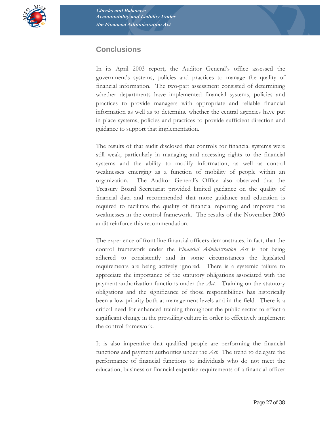

# **Conclusions**

In its April 2003 report, the Auditor General's office assessed the government's systems, policies and practices to manage the quality of financial information. The two-part assessment consisted of determining whether departments have implemented financial systems, policies and practices to provide managers with appropriate and reliable financial information as well as to determine whether the central agencies have put in place systems, policies and practices to provide sufficient direction and guidance to support that implementation.

The results of that audit disclosed that controls for financial systems were still weak, particularly in managing and accessing rights to the financial systems and the ability to modify information, as well as control weaknesses emerging as a function of mobility of people within an organization. The Auditor General's Office also observed that the Treasury Board Secretariat provided limited guidance on the quality of financial data and recommended that more guidance and education is required to facilitate the quality of financial reporting and improve the weaknesses in the control framework. The results of the November 2003 audit reinforce this recommendation.

The experience of front line financial officers demonstrates, in fact, that the control framework under the *Financial Administration Act* is not being adhered to consistently and in some circumstances the legislated requirements are being actively ignored*.* There is a systemic failure to appreciate the importance of the statutory obligations associated with the payment authorization functions under the *Act*. Training on the statutory obligations and the significance of those responsibilities has historically been a low priority both at management levels and in the field. There is a critical need for enhanced training throughout the public sector to effect a significant change in the prevailing culture in order to effectively implement the control framework.

It is also imperative that qualified people are performing the financial functions and payment authorities under the *Act*. The trend to delegate the performance of financial functions to individuals who do not meet the education, business or financial expertise requirements of a financial officer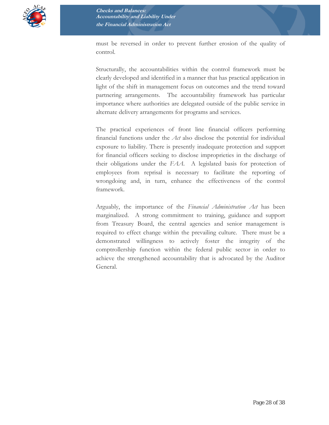

must be reversed in order to prevent further erosion of the quality of control.

Structurally, the accountabilities within the control framework must be clearly developed and identified in a manner that has practical application in light of the shift in management focus on outcomes and the trend toward partnering arrangements. The accountability framework has particular importance where authorities are delegated outside of the public service in alternate delivery arrangements for programs and services.

The practical experiences of front line financial officers performing financial functions under the *Act* also disclose the potential for individual exposure to liability*.* There is presently inadequate protection and support for financial officers seeking to disclose improprieties in the discharge of their obligations under the *FAA*. A legislated basis for protection of employees from reprisal is necessary to facilitate the reporting of wrongdoing and, in turn, enhance the effectiveness of the control framework.

Arguably, the importance of the *Financial Administration Act* has been marginalized. A strong commitment to training, guidance and support from Treasury Board, the central agencies and senior management is required to effect change within the prevailing culture. There must be a demonstrated willingness to actively foster the integrity of the comptrollership function within the federal public sector in order to achieve the strengthened accountability that is advocated by the Auditor General.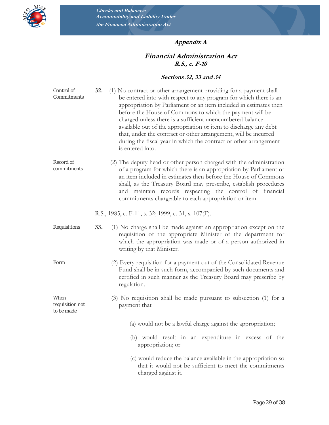

## **Appendix A**

#### **Financial Administration Act R.S., c. F-10**

#### **Sections 32, 33 and 34**

| Control of<br>Commitments             | 32.<br>(1) No contract or other arrangement providing for a payment shall<br>be entered into with respect to any program for which there is an<br>appropriation by Parliament or an item included in estimates then<br>before the House of Commons to which the payment will be<br>charged unless there is a sufficient unencumbered balance<br>available out of the appropriation or item to discharge any debt<br>that, under the contract or other arrangement, will be incurred<br>during the fiscal year in which the contract or other arrangement<br>is entered into. |
|---------------------------------------|------------------------------------------------------------------------------------------------------------------------------------------------------------------------------------------------------------------------------------------------------------------------------------------------------------------------------------------------------------------------------------------------------------------------------------------------------------------------------------------------------------------------------------------------------------------------------|
| Record of<br>commitments              | (2) The deputy head or other person charged with the administration<br>of a program for which there is an appropriation by Parliament or<br>an item included in estimates then before the House of Commons<br>shall, as the Treasury Board may prescribe, establish procedures<br>and maintain records respecting the control of financial<br>commitments chargeable to each appropriation or item.                                                                                                                                                                          |
|                                       | R.S., 1985, c. F-11, s. 32; 1999, c. 31, s. 107(F).                                                                                                                                                                                                                                                                                                                                                                                                                                                                                                                          |
| Requisitions                          | 33.<br>(1) No charge shall be made against an appropriation except on the<br>requisition of the appropriate Minister of the department for<br>which the appropriation was made or of a person authorized in<br>writing by that Minister.                                                                                                                                                                                                                                                                                                                                     |
| Form                                  | (2) Every requisition for a payment out of the Consolidated Revenue<br>Fund shall be in such form, accompanied by such documents and<br>certified in such manner as the Treasury Board may prescribe by<br>regulation.                                                                                                                                                                                                                                                                                                                                                       |
| When<br>requisition not<br>to be made | (3) No requisition shall be made pursuant to subsection (1) for a<br>payment that                                                                                                                                                                                                                                                                                                                                                                                                                                                                                            |
|                                       | (a) would not be a lawful charge against the appropriation;                                                                                                                                                                                                                                                                                                                                                                                                                                                                                                                  |
|                                       | (b) would result in an expenditure in excess of the<br>appropriation; or                                                                                                                                                                                                                                                                                                                                                                                                                                                                                                     |
|                                       | (c) would reduce the balance available in the appropriation so<br>that it would not be sufficient to meet the commitments<br>charged against it.                                                                                                                                                                                                                                                                                                                                                                                                                             |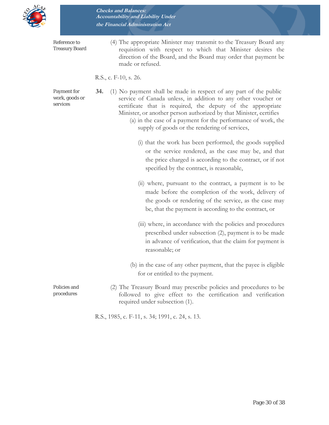

Reference to Treasury Board (4) The appropriate Minister may transmit to the Treasury Board any requisition with respect to which that Minister desires the direction of the Board, and the Board may order that payment be made or refused.

#### R.S., c. F-10, s. 26.

Payment for work, goods or services

**34.** (1) No payment shall be made in respect of any part of the public service of Canada unless, in addition to any other voucher or certificate that is required, the deputy of the appropriate Minister, or another person authorized by that Minister, certifies

- (a) in the case of a payment for the performance of work, the supply of goods or the rendering of services,
	- (i) that the work has been performed, the goods supplied or the service rendered, as the case may be, and that the price charged is according to the contract, or if not specified by the contract, is reasonable,
	- (ii) where, pursuant to the contract, a payment is to be made before the completion of the work, delivery of the goods or rendering of the service, as the case may be, that the payment is according to the contract, or
	- (iii) where, in accordance with the policies and procedures prescribed under subsection (2), payment is to be made in advance of verification, that the claim for payment is reasonable; or
- (b) in the case of any other payment, that the payee is eligible for or entitled to the payment.
- (2) The Treasury Board may prescribe policies and procedures to be followed to give effect to the certification and verification required under subsection (1).

R.S., 1985, c. F-11, s. 34; 1991, c. 24, s. 13.

Policies and procedures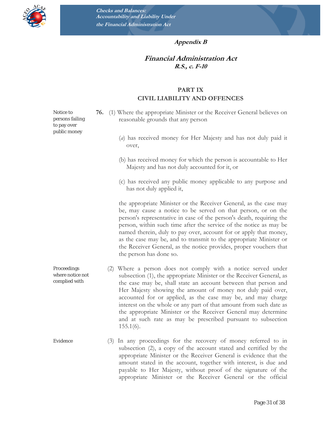

#### **Appendix B**

#### **Financial Administration Act R.S., c. F-10**

#### **PART IX CIVIL LIABILITY AND OFFENCES**

- **76.** (1) Where the appropriate Minister or the Receiver General believes on reasonable grounds that any person
	- (*a*) has received money for Her Majesty and has not duly paid it over,
	- (b) has received money for which the person is accountable to Her Majesty and has not duly accounted for it, or
	- (c) has received any public money applicable to any purpose and has not duly applied it,

the appropriate Minister or the Receiver General, as the case may be, may cause a notice to be served on that person, or on the person's representative in case of the person's death, requiring the person, within such time after the service of the notice as may be named therein, duly to pay over, account for or apply that money, as the case may be, and to transmit to the appropriate Minister or the Receiver General, as the notice provides, proper vouchers that the person has done so.

- where notice not complied with (2) Where a person does not comply with a notice served under subsection (1), the appropriate Minister or the Receiver General, as the case may be, shall state an account between that person and Her Majesty showing the amount of money not duly paid over, accounted for or applied, as the case may be, and may charge interest on the whole or any part of that amount from such date as the appropriate Minister or the Receiver General may determine and at such rate as may be prescribed pursuant to subsection  $155.1(6)$ .
- Evidence (3) In any proceedings for the recovery of money referred to in subsection (2), a copy of the account stated and certified by the appropriate Minister or the Receiver General is evidence that the amount stated in the account, together with interest, is due and payable to Her Majesty, without proof of the signature of the appropriate Minister or the Receiver General or the official

Notice to persons failing to pay over public money

Proceedings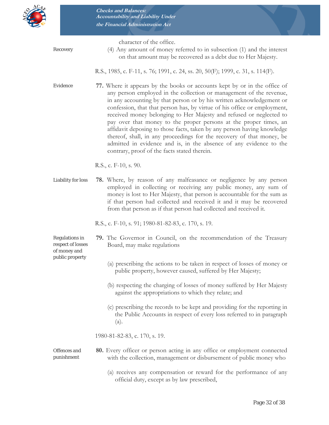

character of the office.

Recovery (4) Any amount of money referred to in subsection (1) and the interest on that amount may be recovered as a debt due to Her Majesty.

R.S., 1985, c. F-11, s. 76; 1991, c. 24, ss. 20, 50(F); 1999, c. 31, s. 114(F).

Evidence **77.** Where it appears by the books or accounts kept by or in the office of any person employed in the collection or management of the revenue, in any accounting by that person or by his written acknowledgement or confession, that that person has, by virtue of his office or employment, received money belonging to Her Majesty and refused or neglected to pay over that money to the proper persons at the proper times, an affidavit deposing to those facts, taken by any person having knowledge thereof, shall, in any proceedings for the recovery of that money, be admitted in evidence and is, in the absence of any evidence to the contrary, proof of the facts stated therein.

R.S., c. F-10, s. 90.

Liability for loss **78.** Where, by reason of any malfeasance or negligence by any person employed in collecting or receiving any public money, any sum of money is lost to Her Majesty, that person is accountable for the sum as if that person had collected and received it and it may be recovered from that person as if that person had collected and received it.

R.S., c. F-10, s. 91; 1980-81-82-83, c. 170, s. 19.

Regulations in respect of losses of money and public property

- **79.** The Governor in Council, on the recommendation of the Treasury Board, may make regulations
	- (a) prescribing the actions to be taken in respect of losses of money or public property, however caused, suffered by Her Majesty;
	- (b) respecting the charging of losses of money suffered by Her Majesty against the appropriations to which they relate; and
	- (c) prescribing the records to be kept and providing for the reporting in the Public Accounts in respect of every loss referred to in paragraph (a).

1980-81-82-83, c. 170, s. 19.

#### Offences and punishment **80.** Every officer or person acting in any office or employment connected with the collection, management or disbursement of public money who

(a) receives any compensation or reward for the performance of any official duty, except as by law prescribed,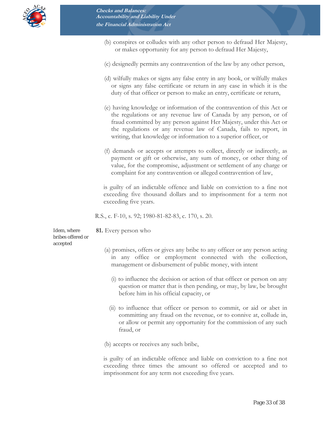

- (b) conspires or colludes with any other person to defraud Her Majesty, or makes opportunity for any person to defraud Her Majesty,
- (c) designedly permits any contravention of the law by any other person,
- (d) wilfully makes or signs any false entry in any book, or wilfully makes or signs any false certificate or return in any case in which it is the duty of that officer or person to make an entry, certificate or return,
- (e) having knowledge or information of the contravention of this Act or the regulations or any revenue law of Canada by any person, or of fraud committed by any person against Her Majesty, under this Act or the regulations or any revenue law of Canada, fails to report, in writing, that knowledge or information to a superior officer, or
- (f) demands or accepts or attempts to collect, directly or indirectly, as payment or gift or otherwise, any sum of money, or other thing of value, for the compromise, adjustment or settlement of any charge or complaint for any contravention or alleged contravention of law,

is guilty of an indictable offence and liable on conviction to a fine not exceeding five thousand dollars and to imprisonment for a term not exceeding five years.

R.S., c. F-10, s. 92; 1980-81-82-83, c. 170, s. 20.

Idem, where bribes offered or accepted

**81.** Every person who

- (a) promises, offers or gives any bribe to any officer or any person acting in any office or employment connected with the collection, management or disbursement of public money, with intent
	- (i) to influence the decision or action of that officer or person on any question or matter that is then pending, or may, by law, be brought before him in his official capacity, or
	- (ii) to influence that officer or person to commit, or aid or abet in committing any fraud on the revenue, or to connive at, collude in, or allow or permit any opportunity for the commission of any such fraud, or

(b) accepts or receives any such bribe,

is guilty of an indictable offence and liable on conviction to a fine not exceeding three times the amount so offered or accepted and to imprisonment for any term not exceeding five years.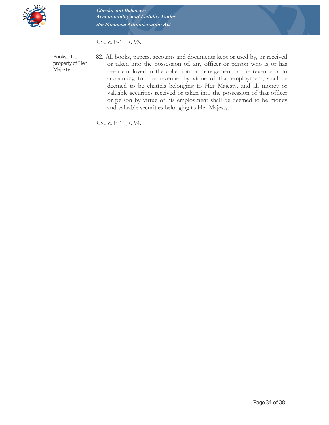

R.S., c. F-10, s. 93.

Books, etc., property of Her Majesty

**82.** All books, papers, accounts and documents kept or used by, or received or taken into the possession of, any officer or person who is or has been employed in the collection or management of the revenue or in accounting for the revenue, by virtue of that employment, shall be deemed to be chattels belonging to Her Majesty, and all money or valuable securities received or taken into the possession of that officer or person by virtue of his employment shall be deemed to be money and valuable securities belonging to Her Majesty.

R.S., c. F-10, s. 94.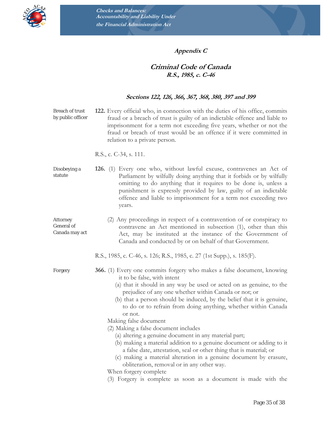

#### **Appendix C**

#### **Criminal Code of Canada R.S., 1985, c. C-46**

#### **Sections 122, 126, 366, 367, 368, 380, 397 and 399**

Breach of trust by public officer **122.** Every official who, in connection with the duties of his office, commits fraud or a breach of trust is guilty of an indictable offence and liable to imprisonment for a term not exceeding five years, whether or not the fraud or breach of trust would be an offence if it were committed in relation to a private person.

R.S., c. C-34, s. 111.

- Disobeying a statute **126.** (1) Every one who, without lawful excuse, contravenes an Act of Parliament by wilfully doing anything that it forbids or by wilfully omitting to do anything that it requires to be done is, unless a punishment is expressly provided by law, guilty of an indictable offence and liable to imprisonment for a term not exceeding two years.
- Attorney General of Canada may act (2) Any proceedings in respect of a contravention of or conspiracy to contravene an Act mentioned in subsection (1), other than this Act, may be instituted at the instance of the Government of Canada and conducted by or on behalf of that Government.

R.S., 1985, c. C-46, s. 126; R.S., 1985, c. 27 (1st Supp.), s. 185(F).

- Forgery **366.** (1) Every one commits forgery who makes a false document, knowing it to be false, with intent
	- (a) that it should in any way be used or acted on as genuine, to the prejudice of any one whether within Canada or not; or
	- (b) that a person should be induced, by the belief that it is genuine, to do or to refrain from doing anything, whether within Canada or not.

Making false document

- (2) Making a false document includes
	- (a) altering a genuine document in any material part;
	- (b) making a material addition to a genuine document or adding to it a false date, attestation, seal or other thing that is material; or
	- (c) making a material alteration in a genuine document by erasure, obliteration, removal or in any other way.

When forgery complete

(3) Forgery is complete as soon as a document is made with the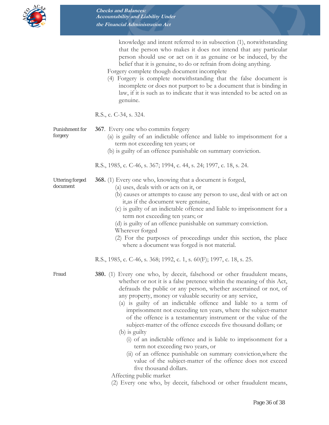

knowledge and intent referred to in subsection (1), notwithstanding that the person who makes it does not intend that any particular person should use or act on it as genuine or be induced, by the belief that it is genuine, to do or refrain from doing anything.

Forgery complete though document incomplete

(4) Forgery is complete notwithstanding that the false document is incomplete or does not purport to be a document that is binding in law, if it is such as to indicate that it was intended to be acted on as genuine.

R.S., c. C-34, s. 324.

Punishment for forgery

- **367**. Every one who commits forgery
	- (a) is guilty of an indictable offence and liable to imprisonment for a term not exceeding ten years; or
	- (b) is guilty of an offence punishable on summary conviction.

R.S., 1985, c. C-46, s. 367; 1994, c. 44, s. 24; 1997, c. 18, s. 24.

Uttering forged document

- **368.** (1) Every one who, knowing that a document is forged, (a) uses, deals with or acts on it, or
	- (b) causes or attempts to cause any person to use, deal with or act on it,as if the document were genuine,
	- (c) is guilty of an indictable offence and liable to imprisonment for a term not exceeding ten years; or
	- (d) is guilty of an offence punishable on summary conviction.
	- Wherever forged
	- (2) For the purposes of proceedings under this section, the place where a document was forged is not material.

R.S., 1985, c. C-46, s. 368; 1992, c. 1, s. 60(F); 1997, c. 18, s. 25.

- Fraud **380.** (1) Every one who, by deceit, falsehood or other fraudulent means, whether or not it is a false pretence within the meaning of this Act, defrauds the public or any person, whether ascertained or not, of any property, money or valuable security or any service,
	- (a) is guilty of an indictable offence and liable to a term of imprisonment not exceeding ten years, where the subject-matter of the offence is a testamentary instrument or the value of the subject-matter of the offence exceeds five thousand dollars; or
	- (b) is guilty
		- (i) of an indictable offence and is liable to imprisonment for a term not exceeding two years, or
		- (ii) of an offence punishable on summary conviction,where the value of the subject-matter of the offence does not exceed five thousand dollars.

Affecting public market

(2) Every one who, by deceit, falsehood or other fraudulent means,